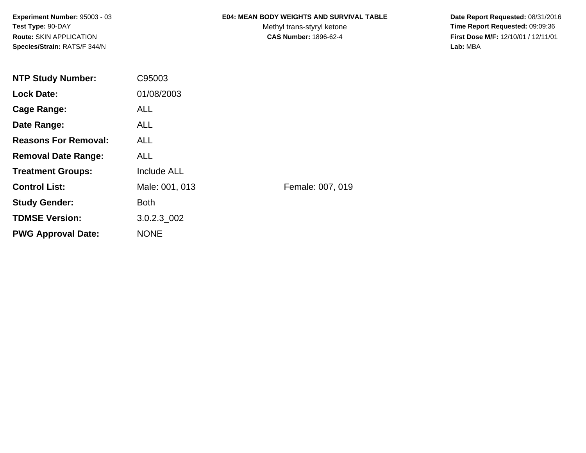**Experiment Number:** 95003 - 03**Test Type:** 90-DAY**Route:** SKIN APPLICATION**Species/Strain:** RATS/F 344/N

### **E04: MEAN BODY WEIGHTS AND SURVIVAL TABLE**

Methyl trans-styryl ketone<br>CAS Number: 1896-62-4

 **Date Report Requested:** 08/31/2016 **Time Report Requested:** 09:09:36 **First Dose M/F:** 12/10/01 / 12/11/01<br>Lab: MBA **Lab:** MBA

| <b>NTP Study Number:</b>    | C95003             |                  |
|-----------------------------|--------------------|------------------|
| <b>Lock Date:</b>           | 01/08/2003         |                  |
| Cage Range:                 | <b>ALL</b>         |                  |
| Date Range:                 | <b>ALL</b>         |                  |
| <b>Reasons For Removal:</b> | <b>ALL</b>         |                  |
| <b>Removal Date Range:</b>  | <b>ALL</b>         |                  |
| <b>Treatment Groups:</b>    | <b>Include ALL</b> |                  |
| <b>Control List:</b>        | Male: 001, 013     | Female: 007, 019 |
| <b>Study Gender:</b>        | <b>Both</b>        |                  |
| <b>TDMSE Version:</b>       | $3.0.2.3\_002$     |                  |
| <b>PWG Approval Date:</b>   | <b>NONE</b>        |                  |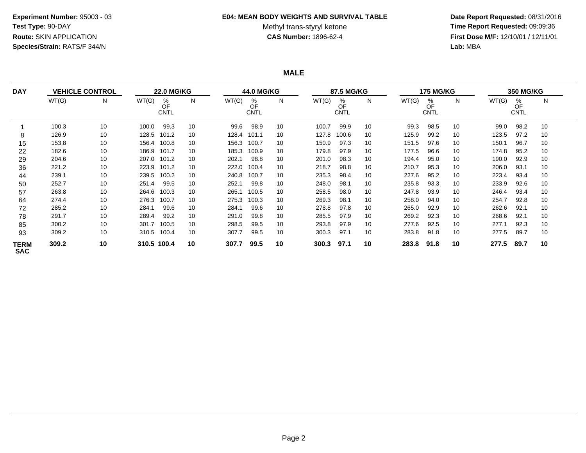#### **E04: MEAN BODY WEIGHTS AND SURVIVAL TABLE**

# Methyl trans-styryl ketone<br>CAS Number: 1896-62-4

 **Date Report Requested:** 08/31/2016 **Time Report Requested:** 09:09:36 **First Dose M/F:** 12/10/01 / 12/11/01<br>Lab: MBA **Lab:** MBA

**MALE**

| <b>DAY</b><br>8<br>15<br>22<br>29<br>36<br>44<br>50<br>57<br>64<br>72<br>78<br>85 |       | <b>VEHICLE CONTROL</b> |       | <b>22.0 MG/KG</b>      |    |       | <b>44.0 MG/KG</b>      |    |       | 87.5 MG/KG             |    |       | <b>175 MG/KG</b>       |    |       | <b>350 MG/KG</b>       |    |
|-----------------------------------------------------------------------------------|-------|------------------------|-------|------------------------|----|-------|------------------------|----|-------|------------------------|----|-------|------------------------|----|-------|------------------------|----|
|                                                                                   | WT(G) | N                      | WT(G) | %<br>OF<br><b>CNTL</b> | N  | WT(G) | %<br>OF<br><b>CNTL</b> | N  | WT(G) | %<br>OF<br><b>CNTL</b> | N  | WT(G) | %<br>OF<br><b>CNTL</b> | N. | WT(G) | %<br>OF<br><b>CNTL</b> | N  |
|                                                                                   | 100.3 | 10                     | 100.0 | 99.3                   | 10 | 99.6  | 98.9                   | 10 | 100.7 | 99.9                   | 10 | 99.3  | 98.5                   | 10 | 99.0  | 98.2                   | 10 |
|                                                                                   | 126.9 | 10                     | 128.5 | 101.2                  | 10 | 128.4 | 101.1                  | 10 | 127.8 | 100.6                  | 10 | 125.9 | 99.2                   | 10 | 123.5 | 97.2                   | 10 |
|                                                                                   | 153.8 | 10                     | 156.4 | 100.8                  | 10 | 156.3 | 100.7                  | 10 | 150.9 | 97.3                   | 10 | 151.5 | 97.6                   | 10 | 150.1 | 96.7                   | 10 |
|                                                                                   | 182.6 | 10                     | 186.9 | 101.7                  | 10 | 185.3 | 100.9                  | 10 | 179.8 | 97.9                   | 10 | 177.5 | 96.6                   | 10 | 174.8 | 95.2                   | 10 |
|                                                                                   | 204.6 | 10                     | 207.0 | 101.2                  | 10 | 202.1 | 98.8                   | 10 | 201.0 | 98.3                   | 10 | 194.4 | 95.0                   | 10 | 190.0 | 92.9                   | 10 |
|                                                                                   | 221.2 | 10                     | 223.9 | 101.2                  | 10 | 222.0 | 100.4                  | 10 | 218.7 | 98.8                   | 10 | 210.7 | 95.3                   | 10 | 206.0 | 93.1                   | 10 |
|                                                                                   | 239.1 | 10                     | 239.5 | 100.2                  | 10 | 240.8 | 100.7                  | 10 | 235.3 | 98.4                   | 10 | 227.6 | 95.2                   | 10 | 223.4 | 93.4                   | 10 |
|                                                                                   | 252.7 | 10                     | 251.4 | 99.5                   | 10 | 252.1 | 99.8                   | 10 | 248.0 | 98.1                   | 10 | 235.8 | 93.3                   | 10 | 233.9 | 92.6                   | 10 |
|                                                                                   | 263.8 | 10                     | 264.6 | 100.3                  | 10 | 265.1 | 100.5                  | 10 | 258.5 | 98.0                   | 10 | 247.8 | 93.9                   | 10 | 246.4 | 93.4                   | 10 |
|                                                                                   | 274.4 | 10                     | 276.3 | 100.7                  | 10 | 275.3 | 100.3                  | 10 | 269.3 | 98.1                   | 10 | 258.0 | 94.0                   | 10 | 254.7 | 92.8                   | 10 |
|                                                                                   | 285.2 | 10                     | 284.1 | 99.6                   | 10 | 284.1 | 99.6                   | 10 | 278.8 | 97.8                   | 10 | 265.0 | 92.9                   | 10 | 262.6 | 92.1                   | 10 |
|                                                                                   | 291.7 | 10                     | 289.4 | 99.2                   | 10 | 291.0 | 99.8                   | 10 | 285.5 | 97.9                   | 10 | 269.2 | 92.3                   | 10 | 268.6 | 92.1                   | 10 |
|                                                                                   | 300.2 | 10                     | 301.7 | 100.5                  | 10 | 298.5 | 99.5                   | 10 | 293.8 | 97.9                   | 10 | 277.6 | 92.5                   | 10 | 277.1 | 92.3                   | 10 |
| 93                                                                                | 309.2 | 10                     | 310.5 | 100.4                  | 10 | 307.7 | 99.5                   | 10 | 300.3 | 97.1                   | 10 | 283.8 | 91.8                   | 10 | 277.5 | 89.7                   | 10 |
| <b>TERM</b><br><b>SAC</b>                                                         | 309.2 | 10                     |       | 310.5 100.4            | 10 | 307.7 | 99.5                   | 10 | 300.3 | 97.1                   | 10 | 283.8 | 91.8                   | 10 | 277.5 | 89.7                   | 10 |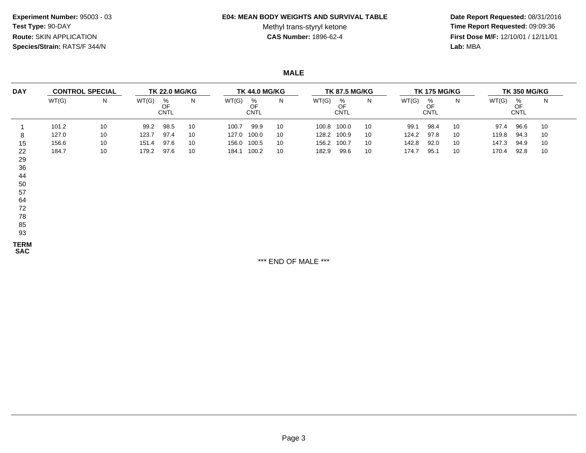**Experiment Number:** 95003 - 03**Test Type:** 90-DAY**Route:** SKIN APPLICATION**Species/Strain:** RATS/F 344/N

#### **E04: MEAN BODY WEIGHTS AND SURVIVAL TABLE**

# Methyl trans-styryl ketone<br>CAS Number: 1896-62-4

 **Date Report Requested:** 08/31/2016 **Time Report Requested:** 09:09:36 **First Dose M/F:** 12/10/01 / 12/11/01<br>Lab: MBA **Lab:** MBA

**MALE**

| <b>DAY</b><br>8<br>15<br>22<br>29<br>36 | <b>CONTROL SPECIAL</b> | <b>TK 22.0 MG/KG</b> |       |                        | <b>TK 44.0 MG/KG</b> |             |                        |    | <b>TK 87.5 MG/KG</b> |                        | <b>TK 175 MG/KG</b> |       |                 | <b>TK 350 MG/KG</b> |       |                        |    |
|-----------------------------------------|------------------------|----------------------|-------|------------------------|----------------------|-------------|------------------------|----|----------------------|------------------------|---------------------|-------|-----------------|---------------------|-------|------------------------|----|
|                                         | WT(G)                  | N                    | WT(G) | %<br>OF<br><b>CNTL</b> | N                    | WT(G)       | %<br>OF<br><b>CNTL</b> | N  | WT(G)                | %<br>OF<br><b>CNTL</b> | N.                  | WT(G) | %<br>OF<br>CNTL | N                   | WT(G) | %<br>OF<br><b>CNTL</b> | N  |
|                                         | 101.2                  | 10                   | 99.2  | 98.5                   | 10                   | 100.7       | 99.9                   | 10 | 100.8                | 100.0                  | 10                  | 99.1  | 98.4            | 10                  | 97.4  | 96.6                   | 10 |
|                                         | 127.0                  | 10                   | 123.7 | 97.4                   | 10                   | 127.0       | 100.0                  | 10 | 128.2                | 100.9                  | 10                  | 124.2 | 97.8            | 10                  | 119.8 | 94.3                   | 10 |
|                                         | 156.6                  | 10                   | 151.4 | 97.6                   | 10                   |             | 156.0 100.5            | 10 | 156.2                | 100.7                  | 10                  | 142.8 | 92.0            | 10                  | 147.3 | 94.9                   | 10 |
|                                         | 184.7                  | 10                   | 179.2 | 97.6                   | 10                   | 184.1 100.2 |                        | 10 | 182.9                | 99.6                   | 10                  | 174.7 | 95.1            | 10                  | 170.4 | 92.8                   | 10 |
|                                         |                        |                      |       |                        |                      |             |                        |    |                      |                        |                     |       |                 |                     |       |                        |    |
| 44                                      |                        |                      |       |                        |                      |             |                        |    |                      |                        |                     |       |                 |                     |       |                        |    |

- 57
- 64
- 72
- 78
- 85
- 93

**TERM**

**SAC**

\*\*\* END OF MALE \*\*\*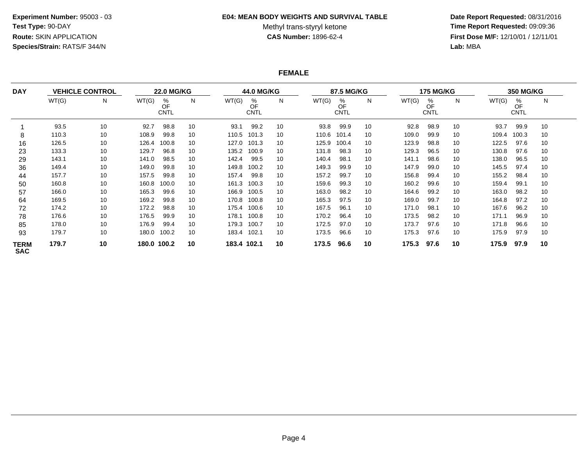### **E04: MEAN BODY WEIGHTS AND SURVIVAL TABLE**

Methyl trans-styryl ketone<br>CAS Number: 1896-62-4

 **Date Report Requested:** 08/31/2016 **Time Report Requested:** 09:09:36 **First Dose M/F:** 12/10/01 / 12/11/01<br>Lab: MBA **Lab:** MBA

### **FEMALE**

| <b>DAY</b>                |       | <b>VEHICLE CONTROL</b> |       | <b>22.0 MG/KG</b>      |    |             | <b>44.0 MG/KG</b>      |    |       | 87.5 MG/KG             |    |       | <b>175 MG/KG</b>       |    |       | <b>350 MG/KG</b>       |    |  |
|---------------------------|-------|------------------------|-------|------------------------|----|-------------|------------------------|----|-------|------------------------|----|-------|------------------------|----|-------|------------------------|----|--|
|                           | WT(G) | N                      | WT(G) | %<br>OF<br><b>CNTL</b> | N  | WT(G)       | %<br>OF<br><b>CNTL</b> | N  | WT(G) | %<br>OF<br><b>CNTL</b> | N  | WT(G) | %<br>OF<br><b>CNTL</b> | N  | WT(G) | %<br>OF<br><b>CNTL</b> | N  |  |
|                           | 93.5  | 10                     | 92.7  | 98.8                   | 10 | 93.1        | 99.2                   | 10 | 93.8  | 99.9                   | 10 | 92.8  | 98.9                   | 10 | 93.7  | 99.9                   | 10 |  |
| 8                         | 110.3 | 10                     | 108.9 | 99.8                   | 10 | 110.5       | 101.3                  | 10 | 110.6 | 101.4                  | 10 | 109.0 | 99.9                   | 10 | 109.4 | 100.3                  | 10 |  |
| 16                        | 126.5 | 10                     | 126.4 | 100.8                  | 10 | 127.0       | 101.3                  | 10 | 125.9 | 100.4                  | 10 | 123.9 | 98.8                   | 10 | 122.5 | 97.6                   | 10 |  |
| 23                        | 133.3 | 10                     | 129.7 | 96.8                   | 10 | 135.2       | 100.9                  | 10 | 131.8 | 98.3                   | 10 | 129.3 | 96.5                   | 10 | 130.8 | 97.6                   | 10 |  |
| 29                        | 143.1 | 10                     | 141.0 | 98.5                   | 10 | 142.4       | 99.5                   | 10 | 140.4 | 98.1                   | 10 | 141.1 | 98.6                   | 10 | 138.0 | 96.5                   | 10 |  |
| 36                        | 149.4 | 10                     | 149.0 | 99.8                   | 10 | 149.8       | 100.2                  | 10 | 149.3 | 99.9                   | 10 | 147.9 | 99.0                   | 10 | 145.5 | 97.4                   | 10 |  |
| 44                        | 157.7 | 10                     | 157.5 | 99.8                   | 10 | 157.4       | 99.8                   | 10 | 157.2 | 99.7                   | 10 | 156.8 | 99.4                   | 10 | 155.2 | 98.4                   | 10 |  |
| 50                        | 160.8 | 10                     | 160.8 | 100.0                  | 10 | 161.3       | 100.3                  | 10 | 159.6 | 99.3                   | 10 | 160.2 | 99.6                   | 10 | 159.4 | 99.1                   | 10 |  |
| 57                        | 166.0 | 10                     | 165.3 | 99.6                   | 10 | 166.9       | 100.5                  | 10 | 163.0 | 98.2                   | 10 | 164.6 | 99.2                   | 10 | 163.0 | 98.2                   | 10 |  |
| 64                        | 169.5 | 10                     | 169.2 | 99.8                   | 10 | 170.8       | 100.8                  | 10 | 165.3 | 97.5                   | 10 | 169.0 | 99.7                   | 10 | 164.8 | 97.2                   | 10 |  |
| 72                        | 174.2 | 10                     | 172.2 | 98.8                   | 10 | 175.4       | 100.6                  | 10 | 167.5 | 96.1                   | 10 | 171.0 | 98.1                   | 10 | 167.6 | 96.2                   | 10 |  |
| 78                        | 176.6 | 10                     | 176.5 | 99.9                   | 10 | 178.1       | 100.8                  | 10 | 170.2 | 96.4                   | 10 | 173.5 | 98.2                   | 10 | 171.1 | 96.9                   | 10 |  |
| 85                        | 178.0 | 10                     | 176.9 | 99.4                   | 10 | 179.3       | 100.7                  | 10 | 172.5 | 97.0                   | 10 | 173.7 | 97.6                   | 10 | 171.8 | 96.6                   | 10 |  |
| 93                        | 179.7 | 10                     | 180.0 | 100.2                  | 10 | 183.4       | 102.1                  | 10 | 173.5 | 96.6                   | 10 | 175.3 | 97.6                   | 10 | 175.9 | 97.9                   | 10 |  |
| <b>TERM</b><br><b>SAC</b> | 179.7 | 10                     | 180.0 | 100.2                  | 10 | 183.4 102.1 |                        | 10 | 173.5 | 96.6                   | 10 | 175.3 | 97.6                   | 10 | 175.9 | 97.9                   | 10 |  |